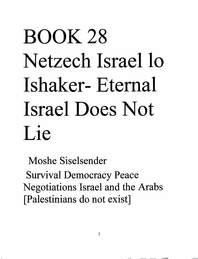# BOOK 28 Netzech Israel lo Ishaker- Eternal Israel Does Not Lie

Moshe Siselsender Survival Democracy Peace Negotiations Israel and the Arabs [Palestinians do not exist]

1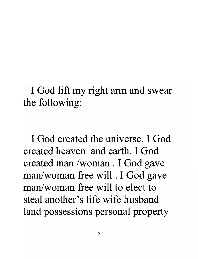I God lift my right arm and swear the following:

I God created the universe. I God created heaven and earth. I God created man /woman . I God gave man/woman free will . I God gave man/woman free will to elect to steal another's life wife husband land possessions personal property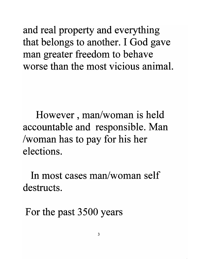and real property and everything that belongs to another. I God gave man greater freedom to behave worse than the most vicious animal.

However, man/woman is held accountable and responsible. Man /woman has to pay for his her elections.

In most cases man/woman self destructs.

For the past 3500 years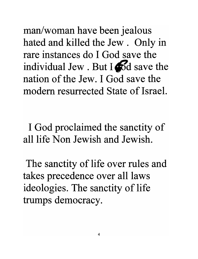man/woman have been jealous hated and killed the Jew. Only in rare instances do I God save the individual Jew . But  $I \bigotimes d$  save the nation of the Jew. I God save the modem resurrected State of Israel.

I God proclaimed the sanctity of all life Non Jewish and Jewish.

The sanctity of life over rules and takes precedence over all laws ideologies. The sanctity of life trumps democracy.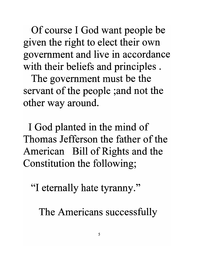Of course 1 God want people be given the right to elect their own government and live in accordance with their beliefs and principles.

The government must be the servant of the people ;and not the other way around.

1 God planted in the mind of Thomas Jefferson the father of the American Bill of Rights and the Constitution the following;

"I eternally hate tyranny."

The Americans successfully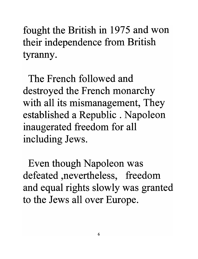fought the British in 1975 and won their independence from British tyranny.

The French followed and destroyed the French monarchy with all its mismanagement, They established a Republic. Napoleon inaugerated freedom for all including Jews.

Even though Napoleon was defeated ,nevertheless, freedom and equal rights slowly was granted to the Jews all over Europe.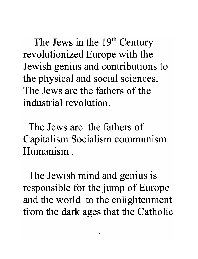The Jews in the  $19<sup>th</sup>$  Century revolutionized Europe with the Jewish genius and contributions to the physical and social sciences. The Jews are the fathers of the industrial revolution.

The Jews are the fathers of Capitalism Socialism communism Humanism.

The Jewish mind and genius is responsible for the jump of Europe and the world to the enlightenment from the dark ages that the Catholic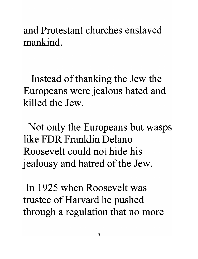and Protestant churches enslaved mankind.

Instead of thanking the Jew the Europeans were jealous hated and killed the Jew.

Not only the Europeans but wasps like FDR Franklin Delano Roosevelt could not hide his jealousy and hatred of the Jew.

In 1925 when Roosevelt was trustee of Harvard he pushed through a regulation that no more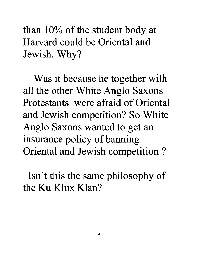than  $10\%$  of the student body at Harvard could be Oriental and Jewish. Why?

Was it because he together with all the other White Anglo Saxons Protestants were afraid of Oriental and Jewish competition? So White Anglo Saxons wanted to get an insurance policy of banning Oriental and Jewish competition ?

Isn't this the same philosophy of the Ku Klux Klan?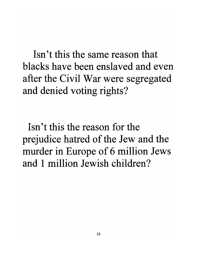Isn't this the same reason that blacks have been enslaved and even after the Civil War were segregated and denied voting rights?

Isn't this the reason for the prejudice hatred of the Jew and the murder in Europe of 6 million Jews and 1 million Jewish children?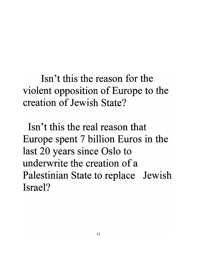Isn't this the reason for the violent opposition of Europe to the creation of Jewish State?

Isn't this the real reason that Europe spent 7 billion Euros in the last 20 years since Oslo to underwrite the creation of a Palestinian State to replace Jewish Israel?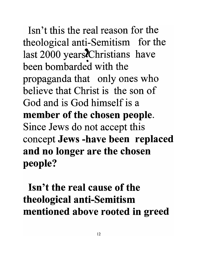Isn't this the real reason for the theological anti-Semitism for the last 2000 years*i*Christians have been bombarded with the propaganda that only ones who believe that Christ is the son of God and is God himself is a **member of the chosen people.**  Since Jews do not accept this concept **Jews -have been replaced and no longer are the chosen people?** 

**Isn't the real cause of the theological anti-Semitism mentioned above rooted in greed**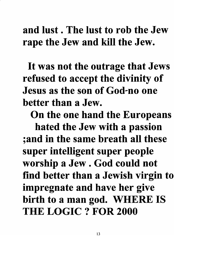#### and lust. The lust to rob the Jew rape the Jew and kill the Jew.

It was not the outrage that Jews refused to accept the divinity of Jesus as the son of God-no one better than a Jew.

On the one hand the Europeans

hated the Jew with a passion ;and in the same breath all these super intelligent super people worship a Jew. God could not find better than a Jewish virgin to impregnate and have her give birth to a man god. WHERE IS THE LOGIC? FOR 2000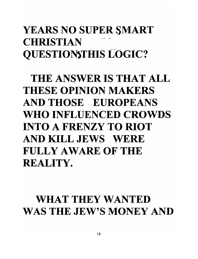### YEARS NO SUPER SMART CHRISTIAN<sup>.</sup> QUESTIOMTHIS LOGIC?

THE ANSWER IS THAT ALL THESE OPINION MAKERS AND THOSE EUROPEANS WHO INFLUENCED CROWDS INTO A FRENZY TO RIOT AND KILL JEWS WERE FULLY AWARE OF THE REALITY.

#### WHAT THEY WANTED WAS THE JEW'S MONEY AND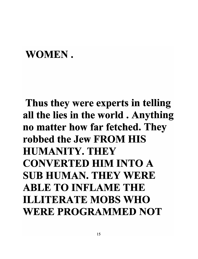#### WOMEN.

## Thus they were experts in telling all the lies in the world . Anything no matter how far fetched. They robbed the Jew FROM HIS HUMANITY. THEY CONVERTED HIM INTO A SUB HUMAN. THEY WERE ABLE TO INFLAME THE ILLITERATE MOBS WHO WERE PROGRAMMED NOT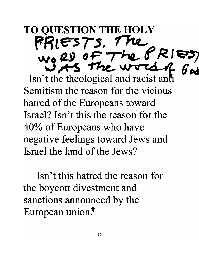**TO QUESTION THE HOLY f'RLESTs, 1 k'l." v.J"e (2.»** *(J* F -,-hL" ~ **I<** *'-=-=')* Isn't the theological and racist and **G**<sup>2</sup> Semitism the reason for the vicious hatred of the Europeans toward Israel? Isn't this the reason for the 40% of Europeans who have negative feelings toward Jews and Israel the land of the Jews?

Isn't this hatred the reason for the boycott divestment and sanctions announced by the European union. $\bar{ }$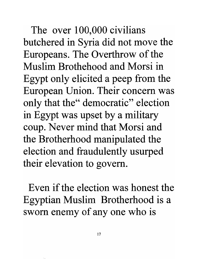The over 100,000 civilians butchered in Syria did not move the Europeans. The Overthrow of the Muslim Brothehood and Morsi in Egypt only elicited a peep from the European Union. Their concern was only that the" democratic" election in Egypt was upset by a military coup. Never mind that Morsi and the Brotherhood manipulated the election and fraudulently usurped their elevation to govern.

Even if the election was honest the Egyptian Muslim Brotherhood is a sworn enemy of any one who is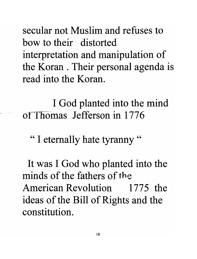secular not Muslim and refuses to bow to their distorted interpretation and manipulation of the Koran . Their personal agenda is read into the Koran.

I God planted into the mind of Thomas Jefferson in 1776

" I eternally hate tyranny"

It was I God who planted into the minds of the fathers of the American Revolution 1775 the ideas of the Bill of Rights and the constitution.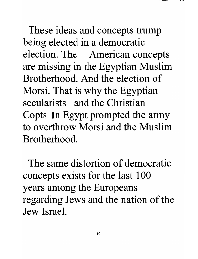These ideas and concepts trump being elected in a democratic election. The American concepts are missing in the Egyptian Muslim Brotherhood. And the election of Morsi. That is why the Egyptian secularists and the Christian Copts in Egypt prompted the army to overthrow Morsi and the Muslim Brotherhood.

The same distortion of democratic concepts exists for the last 100 years among the Europeans regarding Jews and the nation of the Jew **Israel.**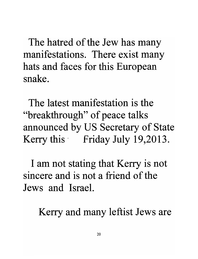The hatred of the Jew has many manifestations. There exist many hats and faces for this European snake.

The latest manifestation is the "breakthrough" of peace talks announced by US Secretary of State Kerry this Friday July 19,2013.

I am not stating that Kerry is not sincere and is not a friend of the Jews and Israel.

Kerry and many leftist Jews are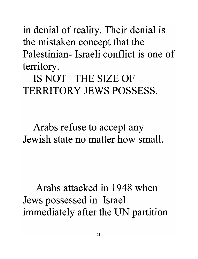in denial of reality. Their denial is the mistaken concept that the Palestinian- Israeli conflict is one of territory.

IS NOT THE SIZE OF TERRITORY JEWS POSSESS.

Arabs refuse to accept any Jewish state no matter how small.

Arabs attacked in 1948 when Jews possessed in Israel immediately after the UN partition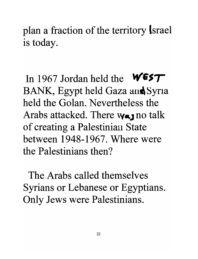plan a fraction of the territory Israel is today.

In 1967 Jordan held the **WEST** BANK, Egypt held Gaza and Syria held the Golan. Nevertheless the Arabs attacked. There **Wa** no talk of creating a Palestinian State between 1948-1967. Where were the Palestinians then?

The Arabs called themselves Syrians or Lebanese or Egyptians. Only Jews were Palestinians.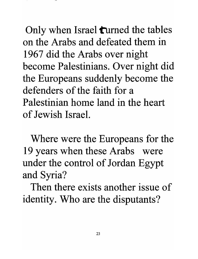Only when Israel **turned** the tables on the Arabs and defeated them in 1967 did the Arabs over night become Palestinians. Over night did the Europeans suddenly become the defenders of the faith for a Palestinian home land in the heart of Jewish Israel.

Where were the Europeans for the 19 years when these Arabs were under the control of Jordan Egypt and Syria?

Then there exists another issue of identity. Who are the disputants?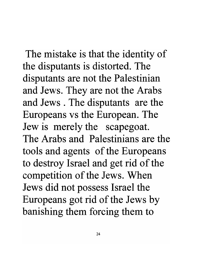The mistake is that the identity of the disputants is distorted. The disputants are not the Palestinian and Jews. They are not the Arabs and Jews . The disputants are the Europeans vs the European. The Jew is merely the scapegoat. The Arabs and Palestinians are the tools and agents of the Europeans to destroy Israel and get rid of the competition of the Jews. When Jews did not possess Israel the Europeans got rid of the Jews by banishing them forcing them to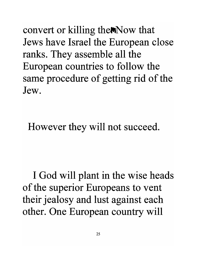convert or killing the Now that Jews have Israel the European close ranks. They assemble all the European countries to follow the same procedure of getting rid of the Jew.

However they will not succeed.

I God will plant in the wise heads of the superior Europeans to vent their jealosy and lust against each other. One European country will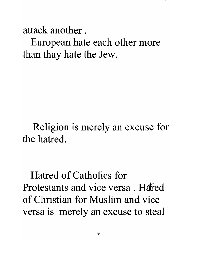attack another .

European hate each other more than thay hate the Jew.

Religion is merely an excuse for the hatred.

Hatred of Catholics for Protestants and vice versa. Harred of Christian for Muslim and vice versa is merely an excuse to steal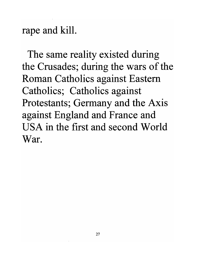rape and kill.

The same reality existed during the Crusades; during the wars of the Roman Catholics against Eastern Catholics; Catholics against Protestants; Germany and the Axis against England and France and USA in the first and second World War.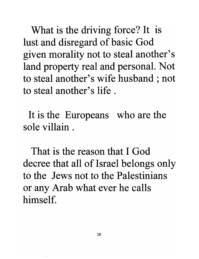What is the driving force? It is lust and disregard of basic God given morality not to steal another's land property real and personal. Not to steal another's wife husband ; not to steal another's life .

It is the Europeans who are the sole villain .

That is the reason that I God decree that all of Israel belongs only to the Jews not to the Palestinians or any Arab what ever he calls himself.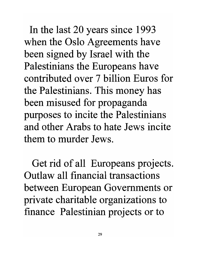In the last 20 years since 1993 when the Oslo Agreements have been signed by Israel with the Palestinians the Europeans have contributed over 7 billion Euros for the Palestinians. This money has been misused for propaganda purposes to incite the Palestinians and other Arabs to hate Jews incite them to murder Jews.

Get rid of all Europeans projects. Outlaw all financial transactions between European Governments or private charitable organizations to finance Palestinian projects or to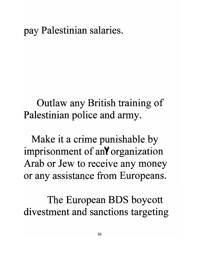#### pay Palestinian salaries.

Outlaw any British training of Palestinian police and army.

Make it a crime punishable by imprisonment of anY organization Arab or Jew to receive any money or any assistance from Europeans.

The European BDS boycott divestment and sanctions targeting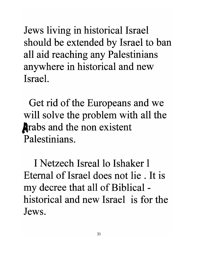Jews living in historical Israel should be extended by Israel to ban all aid reaching any Palestinians anywhere in historical and new IsraeL

Get rid of the Europeans and we will solve the problem with all the **A**rabs and the non existent Palestinians.

I Netzech Isreal lo Ishaker 1 Eternal of Israel does not lie . It is my decree that all of Biblical historical and new Israel is for the Jews.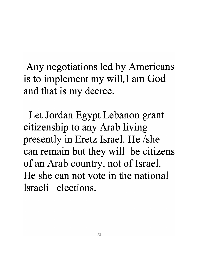Any negotiations led by Americans is to implement my will. I am God and that is my decree.

Let Jordan Egypt Lebanon grant citizenship to any Arab living presently in Eretz Israel. He *Ishe*  can remain but they will be citizens of an Arab country, not of Israel. He she can not vote in the national Israeli elections.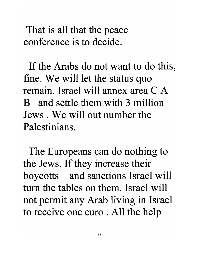That is all that the peace conference is to decide.

If the Arabs do not want to do this, fine. We will let the status quo remain. Israel will annex area C A B and settle them with 3 million Jews . We will out number the Palestinians.

The Europeans can do nothing to the Jews. If they increase their boycotts and sanctions Israel will tum the tables on them. Israel will not permit any Arab living in Israel to receive one euro . All the help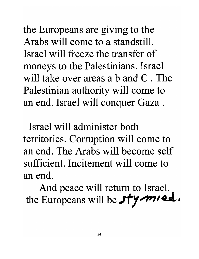the Europeans are giving to the Arabs will come to a standstill. Israel will freeze the transfer of moneys to the Palestinians. Israel will take over areas a b and C. The Palestinian authority will come to an end. Israel will conquer Gaza .

Israel will administer both territories. Corruption will come to an end. The Arabs will become self sufficient. Incitement will come to an end.

And peace will return to Israel. the Europeans will be  $s$ ty mied.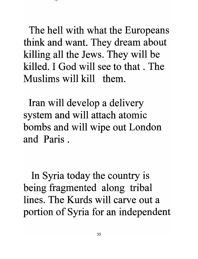The hell with what the Europeans think and want. They dream about killing all the Jews. They will be killed. I God will see to that . The Muslims will kill them.

Iran will develop a delivery system and will attach atomic bombs and will wipe out London and Paris.

In Syria today the country is being fragmented along tribal lines. The Kurds will carve out a portion of Syria for an independent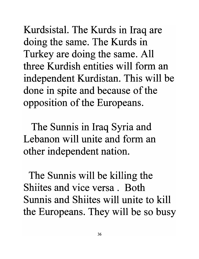Kurdsistal. The Kurds in Iraq are doing the same. The Kurds in Turkey are doing the same. All three Kurdish entities will form an independent Kurdistan. This will be done in spite and because of the opposition of the Europeans.

The Sunnis in Iraq Syria and Lebanon will unite and form an other independent nation.

The Sunnis will be killing the Shiites and vice versa. Both Sunnis and Shiites will unite to kill the Europeans. They will be so busy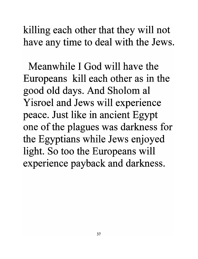killing each other that they will not have any time to deal with the Jews.

Meanwhile I God will have the Europeans kill each other as in the good old days. And Sholom al Yisroel and Jews will experience peace. Just like in ancient Egypt one of the plagues was darkness for the Egyptians while Jews enjoyed light. So too the Europeans will experience payback and darkness.